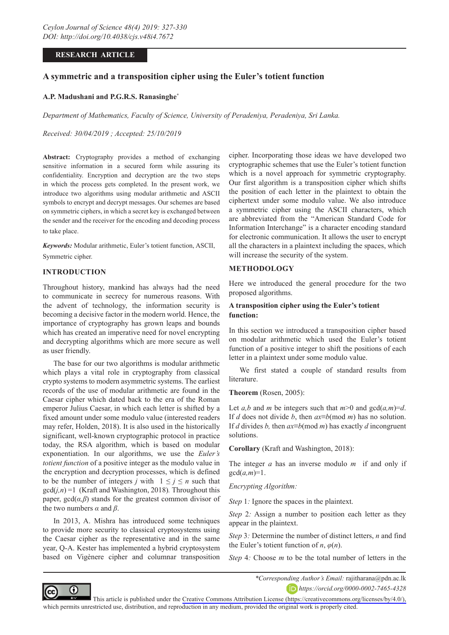# **RESEARCH ARTICLE**

# **A symmetric and a transposition cipher using the Euler's totient function**

## **A.P. Madushani and P.G.R.S. Ranasinghe\***

*Department of Mathematics, Faculty of Science, University of Peradeniya, Peradeniya, Sri Lanka.*

*Received: 30/04/2019 ; Accepted: 25/10/2019*

**Abstract:** Cryptography provides a method of exchanging sensitive information in a secured form while assuring its confidentiality. Encryption and decryption are the two steps in which the process gets completed. In the present work, we introduce two algorithms using modular arithmetic and ASCII symbols to encrypt and decrypt messages. Our schemes are based on symmetric ciphers, in which a secret key is exchanged between the sender and the receiver for the encoding and decoding process to take place.

*Keywords:* Modular arithmetic, Euler's totient function, ASCII, Symmetric cipher.

## **INTRODUCTION**

Throughout history, mankind has always had the need to communicate in secrecy for numerous reasons. With the advent of technology, the information security is becoming a decisive factor in the modern world. Hence, the importance of cryptography has grown leaps and bounds which has created an imperative need for novel encrypting and decrypting algorithms which are more secure as well as user friendly.

The base for our two algorithms is modular arithmetic which plays a vital role in cryptography from classical crypto systems to modern asymmetric systems. The earliest records of the use of modular arithmetic are found in the Caesar cipher which dated back to the era of the Roman emperor Julius Caesar, in which each letter is shifted by a fixed amount under some modulo value (interested readers may refer, Holden, 2018). It is also used in the historically significant, well-known cryptographic protocol in practice today, the RSA algorithm, which is based on modular exponentiation. In our algorithms, we use the *Euler's totient function* of a positive integer as the modulo value in the encryption and decryption processes, which is defined to be the number of integers *j* with  $1 \le j \le n$  such that gcd(*j,n*) =1 (Kraft and Washington, 2018)*.* Throughout this paper,  $gcd(\alpha, \beta)$  stands for the greatest common divisor of the two numbers *α* and *β*.

In 2013, A. Mishra has introduced some techniques to provide more security to classical cryptosystems using the Caesar cipher as the representative and in the same year, Q-A. Kester has implemented a hybrid cryptosystem based on Vigènere cipher and columnar transposition cipher. Incorporating those ideas we have developed two cryptographic schemes that use the Euler's totient function which is a novel approach for symmetric cryptography. Our first algorithm is a transposition cipher which shifts the position of each letter in the plaintext to obtain the ciphertext under some modulo value. We also introduce a symmetric cipher using the ASCII characters, which are abbreviated from the "American Standard Code for Information Interchange" is a character encoding standard for electronic communication. It allows the user to encrypt all the characters in a plaintext including the spaces, which will increase the security of the system.

### **METHODOLOGY**

Here we introduced the general procedure for the two proposed algorithms.

## **A transposition cipher using the Euler's totient function:**

In this section we introduced a transposition cipher based on modular arithmetic which used the Euler's totient function of a positive integer to shift the positions of each letter in a plaintext under some modulo value.

We first stated a couple of standard results from literature.

#### **Theorem** (Rosen, 2005):

Let *a,b* and *m* be integers such that  $m>0$  and  $gcd(a,m)=d$ . If *d* does not divide *b*, then *ax*≡*b*(mod *m*) has no solution. If *d* divides *b,* then *ax*≡*b*(mod *m*) has exactly *d* incongruent solutions.

**Corollary** (Kraft and Washington, 2018):

The integer *a* has an inverse modulo *m* if and only if  $gcd(a,m)=1$ .

*Encrypting Algorithm:*

*Step* 1*:* Ignore the spaces in the plaintext.

*Step* 2*:* Assign a number to position each letter as they appear in the plaintext.

*Step* 3*:* Determine the number of distinct letters, *n* and find the Euler's totient function of *n*,  $\varphi(n)$ .

*Step* 4*:* Choose *m* to be the total number of letters in the



*\*Corresponding Author's Email:* rajitharana@pdn.ac.lk *https://orcid.org/0000-0002-7465-4328*

This article is published under the [Creative Commons Attribution License \(https://creativecommons.org/licenses/by/4.0/\),](https://creativecommons.org/licenses/by/4.0/)  which permits unrestricted use, distribution, and reproduction in any medium, provided the original work is properly cited.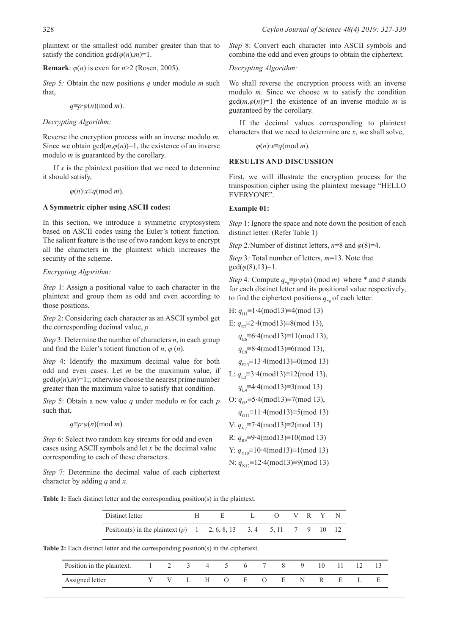plaintext or the smallest odd number greater than that to satisfy the condition  $gcd(\varphi(n), m)=1$ .

**Remark**:  $\varphi(n)$  is even for  $n > 2$  (Rosen, 2005).

*Step* 5*:* Obtain the new positions *q* under modulo *m* such that,

*q*≡*p*∙*φ*(*n*)(mod *m*).

*Decrypting Algorithm:*

Reverse the encryption process with an inverse modulo *m.*  Since we obtain  $gcd(m, \varphi(n))=1$ , the existence of an inverse modulo *m* is guaranteed by the corollary.

If  $x$  is the plaintext position that we need to determine it should satisfy,

*φ*(*n*)∙*x*≡*q*(mod *m*).

### **A Symmetric cipher using ASCII codes:**

In this section, we introduce a symmetric cryptosystem based on ASCII codes using the Euler's totient function. The salient feature is the use of two random keys to encrypt all the characters in the plaintext which increases the security of the scheme.

### *Encrypting Algorithm:*

*Step* 1: Assign a positional value to each character in the plaintext and group them as odd and even according to those positions.

*Step* 2: Considering each character as an ASCII symbol get the corresponding decimal value, *p.*

*Step* 3: Determine the number of characters *n*, in each group and find the Euler's totient function of *n*, *φ* (*n*).

*Step* 4: Identify the maximum decimal value for both odd and even cases. Let *m* be the maximum value, if  $gcd(\varphi(n), m)=1$ ;; otherwise choose the nearest prime number greater than the maximum value to satisfy that condition.

*Step* 5: Obtain a new value *q* under modulo *m* for each *p*  such that,

*q*≡*p*∙*φ*(*n*)(mod *m*).

*Step* 6: Select two random key streams for odd and even cases using ASCII symbols and let *x* be the decimal value corresponding to each of these characters.

*Step* 7: Determine the decimal value of each ciphertext character by adding *q* and *x.*

*Step* 8: Convert each character into ASCII symbols and combine the odd and even groups to obtain the ciphertext.

*Decrypting Algorithm:*

We shall reverse the encryption process with an inverse modulo *m.* Since we choose *m* to satisfy the condition  $gcd(m, \varphi(n))=1$  the existence of an inverse modulo *m* is guaranteed by the corollary.

If the decimal values corresponding to plaintext characters that we need to determine are *x*, we shall solve,

*φ*(*n*)∙*x*≡*q*(mod *m*).

### **RESULTS AND DISCUSSION**

First, we will illustrate the encryption process for the transposition cipher using the plaintext message "HELLO EVERYONE".

### **Example 01:**

*Step* 1: Ignore the space and note down the position of each distinct letter. (Refer Table 1)

*Step* 2*:*Number of distinct letters,  $n=8$  and  $\varphi(8)=4$ .

*Step* 3*:* Total number of letters, *m*=13. Note that  $gcd(\varphi(8), 13)=1.$ 

*Step* 4*:* Compute  $q_{\mu} \equiv p \cdot \varphi(n) \pmod{m}$  where \* and # stands for each distinct letter and its positional value respectively, to find the ciphertext positions  $q_{\mu}$  of each letter.

H: 
$$
q_{\text{H1}} \equiv 1.4 \pmod{13} \equiv 4 \pmod{13}
$$

E:  $q_{E2} \equiv 2 \cdot 4 \pmod{13} \equiv 8 \pmod{13}$ ,

*q*E6≡6∙4(mod13)≡11(mod 13),

*q*E8≡8∙4(mod13)≡6(mod 13),

$$
q_{E13} \equiv 13.4 \pmod{13} \equiv 0 \pmod{13}
$$

L: 
$$
q_{L3} \equiv 3.4 \pmod{13} \equiv 12 \pmod{13}
$$
,

*q*L4≡4∙4(mod13)≡3(mod 13)

O: 
$$
q_{05} \equiv 5.4 \pmod{13} \equiv 7 \pmod{13}
$$
,

*q*<sub>O11</sub>≡11⋅4(mod13)≡5(mod 13)

V: *q*<sub>V7</sub>≡7⋅4(mod13)≡2(mod 13)

R: *q*<sub>p0</sub>≡9⋅4(mod13)≡10(mod 13)

Y: *q*<sub>V10</sub>≡10⋅4(mod13)≡1(mod 13)

N: 
$$
q_{N12} \equiv 12.4 \pmod{13} \equiv 9 \pmod{13}
$$

**Table 1:** Each distinct letter and the corresponding position(s) in the plaintext.

| Distinct letter                                                       |  |  |  | VRYN |  |
|-----------------------------------------------------------------------|--|--|--|------|--|
| Position(s) in the plaintext $(p)$ 1 2, 6, 8, 13 3, 4 5, 11 7 9 10 12 |  |  |  |      |  |

**Table 2:** Each distinct letter and the corresponding position(s) in the ciphertext.

| Position in the plaintext. $1 \t 2 \t 3 \t 4 \t 5 \t 6 \t 7$ |  |    |                  |   |                        | X. |   | 10 |    |  |
|--------------------------------------------------------------|--|----|------------------|---|------------------------|----|---|----|----|--|
| Assigned letter                                              |  | н. | $\left( \right)$ | E | $\left( \quad \right)$ | E  | N |    | н. |  |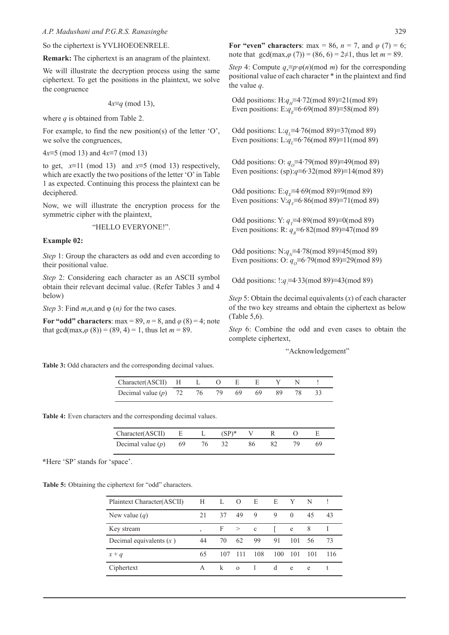So the ciphertext is YVLHOEOENRELE.

**Remark:** The ciphertext is an anagram of the plaintext.

We will illustrate the decryption process using the same ciphertext. To get the positions in the plaintext, we solve the congruence

4*x*≡*q* (mod 13),

where *q* is obtained from Table 2.

For example, to find the new position(s) of the letter 'O', we solve the congruences,

4*x*≡5 (mod 13) and 4*x*≡7 (mod 13)

to get,  $x=11 \pmod{13}$  and  $x=5 \pmod{13}$  respectively, which are exactly the two positions of the letter 'O' in Table 1 as expected. Continuing this process the plaintext can be deciphered.

Now, we will illustrate the encryption process for the symmetric cipher with the plaintext,

#### "HELLO EVERYONE!".

#### **Example 02:**

*Step* 1: Group the characters as odd and even according to their positional value.

*Step* 2: Considering each character as an ASCII symbol obtain their relevant decimal value. (Refer Tables 3 and 4 below)

*Step* 3: Find *m*,*n,*and φ (*n)* for the two cases.

**For "odd" characters**: max = 89,  $n = 8$ , and  $\varphi$  (8) = 4; note that  $gcd(max, \varphi(8)) = (89, 4) = 1$ , thus let  $m = 89$ .

**For "even" characters**: max = 86,  $n = 7$ , and  $\varphi$  (7) = 6; note that  $gcd(max, \varphi(7)) = (86, 6) = 2\neq 1$ , thus let  $m = 89$ .

*Step* 4: Compute  $q_* \equiv p \cdot \varphi(n) \pmod{m}$  for the corresponding positional value of each character \* in the plaintext and find the value *q*.

Odd positions: H:*q*<sub>H</sub>≡4⋅72(mod 89)≡21(mod 89) Even positions: E:*q<sub>E</sub>*≡6⋅69(mod 89)≡58(mod 89)

Odd positions: L:*q*<sub>L</sub>≡4⋅76(mod 89)≡37(mod 89) Even positions: L: $q_{\perp}$ ≡6⋅76(mod 89)≡11(mod 89)

Odd positions: O: *q*<sub>0</sub>≡4⋅79(mod 89)≡49(mod 89) Even positions: (sp):*q*≡6∙32(mod 89)≡14(mod 89)

Odd positions: E:*q<sub>F</sub>*≡4⋅69(mod 89)≡9(mod 89) Even positions: V:*q*<sub>*v*</sub>≡6⋅86(mod 89)≡71(mod 89)

Odd positions: Y: *q*<sub>*γ*</sub>≡4⋅89(mod 89)≡0(mod 89) Even positions: R:  $q_p \equiv 6.82 \pmod{89} \equiv 47 \pmod{89}$ 

Odd positions: N:*q<sub>N</sub>*≡4∙78(mod 89)≡45(mod 89) Even positions: O: *q*<sub>0</sub>≡6⋅79(mod 89)≡29(mod 89)

Odd positions: !:*q* ≡4⋅33(mod 89)≡43(mod 89)

*Step* 5: Obtain the decimal equivalents (*x*) of each character of the two key streams and obtain the ciphertext as below (Table 5,6).

*Step* 6: Combine the odd and even cases to obtain the complete ciphertext,

"Acknowledgement"

**Table 3:** Odd characters and the corresponding decimal values.

| $Character(ASCII)$ H L O E E Y N !                        |  |  |  |  |
|-----------------------------------------------------------|--|--|--|--|
| Decimal value (p) $72$ $76$ $79$ $69$ $69$ $89$ $78$ $33$ |  |  |  |  |

**Table 4:** Even characters and the corresponding decimal values.

| Character(ASCII) E L $(SP)^*$ V R O                  |  |  |  |  |
|------------------------------------------------------|--|--|--|--|
| Decimal value (p) $69$ $76$ $32$ $86$ $82$ $79$ $69$ |  |  |  |  |

**\***Here 'SP' stands for 'space'.

**Table 5:** Obtaining the ciphertext for "odd" characters.

| Plaintext Character(ASCII) | Н              | L   | O               | E           | E   | Y        | N   |     |
|----------------------------|----------------|-----|-----------------|-------------|-----|----------|-----|-----|
| New value $(q)$            | 21             | 37  | 49              | 9           | 9   | $\Omega$ | 45  | 43  |
| Key stream                 | $\overline{ }$ |     | $F \rightarrow$ | $\mathbf c$ |     | e        | 8   |     |
| Decimal equivalents $(x)$  | 44             | 70  | 62              | 99          | 91  | 101      | 56  | 73  |
| $x + q$                    | 65             | 107 | 111             | 108         | 100 | 101      | 101 | 116 |
| Ciphertext                 | A              | k   | $\Omega$        |             | d   | e        | e   |     |